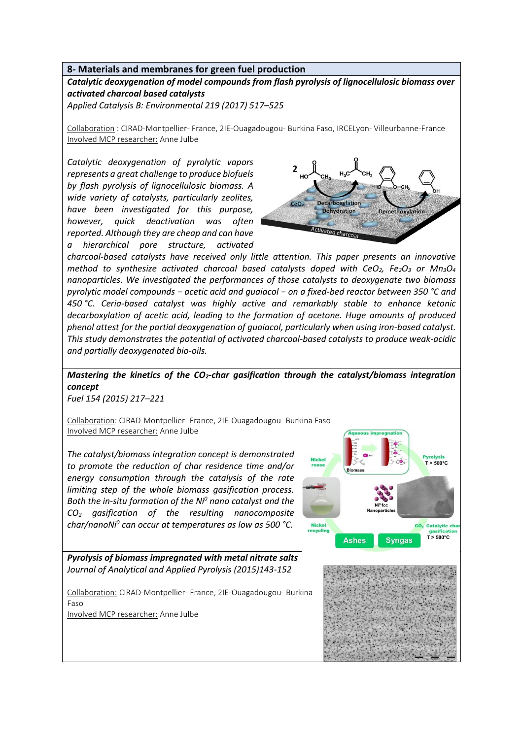## **8- Materials and membranes for green fuel production**

*Catalytic deoxygenation of model compounds from flash pyrolysis of lignocellulosic biomass over activated charcoal based catalysts*

*Applied Catalysis B: Environmental 219 (2017) 517–525*

Collaboration : CIRAD-Montpellier- France, 2IE-Ouagadougou- Burkina Faso, IRCELyon- Villeurbanne-France Involved MCP researcher: Anne Julbe

*Catalytic deoxygenation of pyrolytic vapors represents a great challenge to produce biofuels by flash pyrolysis of lignocellulosic biomass. A wide variety of catalysts, particularly zeolites, have been investigated for this purpose, however, quick deactivation was often reported. Although they are cheap and can have a hierarchical pore structure, activated* 



*charcoal-based catalysts have received only little attention. This paper presents an innovative method to synthesize activated charcoal based catalysts doped with CeO2, Fe2O<sup>3</sup> or Mn3O<sup>4</sup> nanoparticles. We investigated the performances of those catalysts to deoxygenate two biomass pyrolytic model compounds − acetic acid and guaiacol − on a fixed-bed reactor between 350 °C and 450 °C. Ceria-based catalyst was highly active and remarkably stable to enhance ketonic decarboxylation of acetic acid, leading to the formation of acetone. Huge amounts of produced phenol attest for the partial deoxygenation of guaiacol, particularly when using iron-based catalyst. This study demonstrates the potential of activated charcoal-based catalysts to produce weak-acidic and partially deoxygenated bio-oils.*

## *Mastering the kinetics of the CO2-char gasification through the catalyst/biomass integration concept*

*Fuel 154 (2015) 217–221*

Collaboration: CIRAD-Montpellier- France, 2IE-Ouagadougou- Burkina Faso Involved MCP researcher: Anne Julbe

*The catalyst/biomass integration concept is demonstrated to promote the reduction of char residence time and/or energy consumption through the catalysis of the rate limiting step of the whole biomass gasification process. Both the in-situ formation of the Ni<sup>0</sup> nano catalyst and the CO<sup>2</sup> gasification of the resulting nanocomposite char/nanoNi<sup>0</sup> can occur at temperatures as low as 500 °C.*



*Pyrolysis of biomass impregnated with metal nitrate salts Journal of Analytical and Applied Pyrolysis (2015)143-152*

Collaboration: CIRAD-Montpellier- France, 2IE-Ouagadougou- Burkina Faso Involved MCP researcher: Anne Julbe